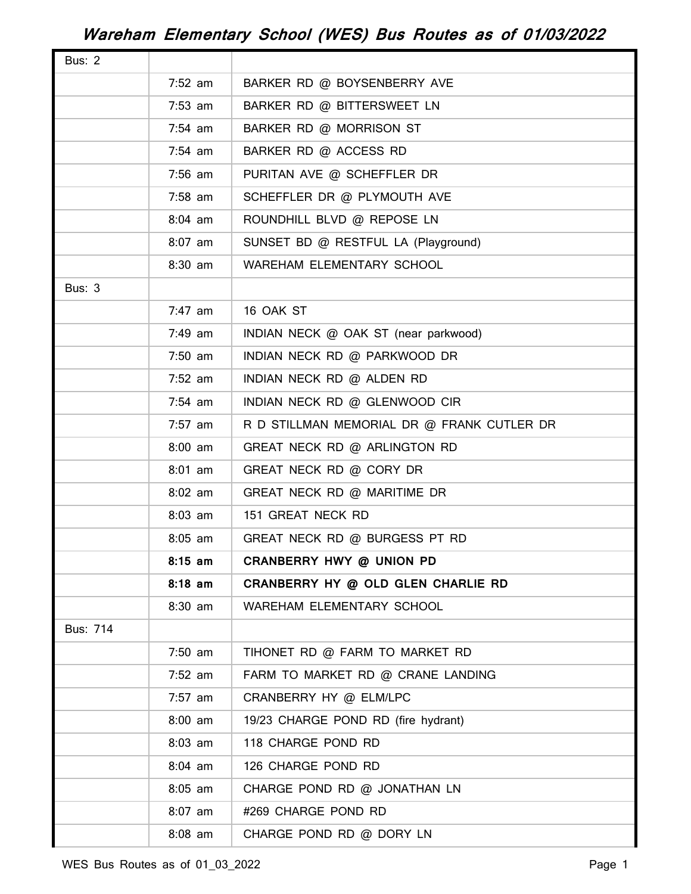| <b>Bus: 2</b>   |           |                                            |
|-----------------|-----------|--------------------------------------------|
|                 | $7:52$ am | BARKER RD @ BOYSENBERRY AVE                |
|                 | $7:53$ am | BARKER RD @ BITTERSWEET LN                 |
|                 | $7:54$ am | BARKER RD @ MORRISON ST                    |
|                 | 7:54 am   | BARKER RD @ ACCESS RD                      |
|                 | $7:56$ am | PURITAN AVE @ SCHEFFLER DR                 |
|                 | $7:58$ am | SCHEFFLER DR @ PLYMOUTH AVE                |
|                 | $8:04$ am | ROUNDHILL BLVD @ REPOSE LN                 |
|                 | $8:07$ am | SUNSET BD @ RESTFUL LA (Playground)        |
|                 | 8:30 am   | WAREHAM ELEMENTARY SCHOOL                  |
| <b>Bus: 3</b>   |           |                                            |
|                 | $7:47$ am | 16 OAK ST                                  |
|                 | 7:49 am   | INDIAN NECK @ OAK ST (near parkwood)       |
|                 | $7:50$ am | INDIAN NECK RD @ PARKWOOD DR               |
|                 | $7:52$ am | INDIAN NECK RD @ ALDEN RD                  |
|                 | $7:54$ am | INDIAN NECK RD @ GLENWOOD CIR              |
|                 | $7:57$ am | R D STILLMAN MEMORIAL DR @ FRANK CUTLER DR |
|                 | $8:00$ am | GREAT NECK RD @ ARLINGTON RD               |
|                 | $8:01$ am | GREAT NECK RD @ CORY DR                    |
|                 | $8:02$ am | GREAT NECK RD @ MARITIME DR                |
|                 | $8:03$ am | 151 GREAT NECK RD                          |
|                 | $8:05$ am | GREAT NECK RD @ BURGESS PT RD              |
|                 | $8:15$ am | CRANBERRY HWY @ UNION PD                   |
|                 | $8:18$ am | CRANBERRY HY @ OLD GLEN CHARLIE RD         |
|                 | $8:30$ am | WAREHAM ELEMENTARY SCHOOL                  |
| <b>Bus: 714</b> |           |                                            |
|                 | $7:50$ am | TIHONET RD @ FARM TO MARKET RD             |
|                 | $7:52$ am | FARM TO MARKET RD @ CRANE LANDING          |
|                 | $7:57$ am | CRANBERRY HY @ ELM/LPC                     |
|                 | $8:00$ am | 19/23 CHARGE POND RD (fire hydrant)        |
|                 | $8:03$ am | 118 CHARGE POND RD                         |
|                 | $8:04$ am | 126 CHARGE POND RD                         |
|                 | $8:05$ am | CHARGE POND RD @ JONATHAN LN               |
|                 | $8:07$ am | #269 CHARGE POND RD                        |
|                 | $8:08$ am | CHARGE POND RD @ DORY LN                   |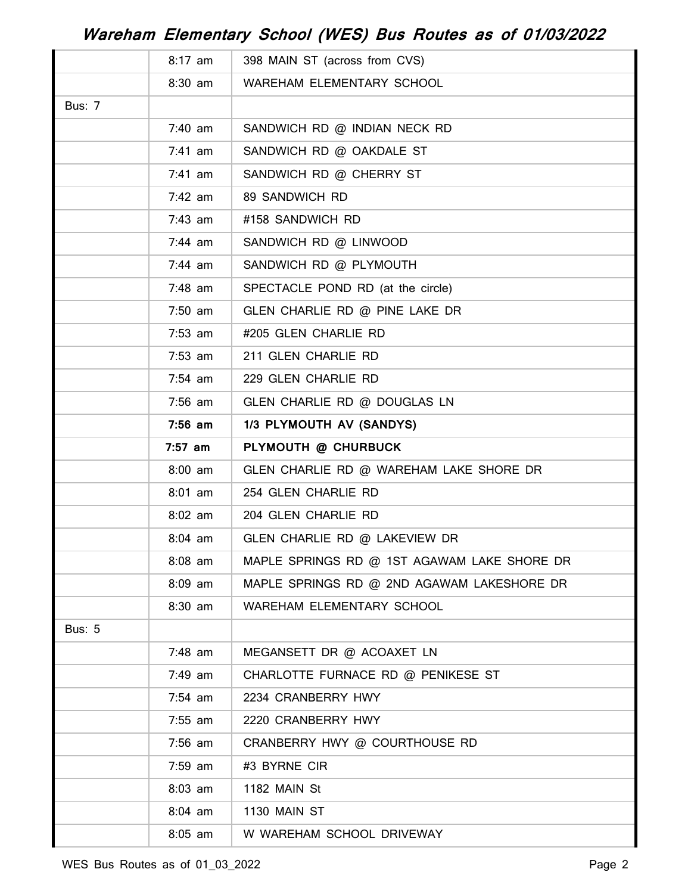|               | $8:17$ am | 398 MAIN ST (across from CVS)               |
|---------------|-----------|---------------------------------------------|
|               | $8:30$ am | WAREHAM ELEMENTARY SCHOOL                   |
| <b>Bus: 7</b> |           |                                             |
|               | $7:40$ am | SANDWICH RD @ INDIAN NECK RD                |
|               | $7:41$ am | SANDWICH RD @ OAKDALE ST                    |
|               | $7:41$ am | SANDWICH RD @ CHERRY ST                     |
|               | $7:42$ am | 89 SANDWICH RD                              |
|               | $7:43$ am | #158 SANDWICH RD                            |
|               | $7:44$ am | SANDWICH RD @ LINWOOD                       |
|               | $7:44$ am | SANDWICH RD @ PLYMOUTH                      |
|               | $7:48$ am | SPECTACLE POND RD (at the circle)           |
|               | $7:50$ am | GLEN CHARLIE RD @ PINE LAKE DR              |
|               | $7:53$ am | #205 GLEN CHARLIE RD                        |
|               | $7:53$ am | 211 GLEN CHARLIE RD                         |
|               | $7:54$ am | 229 GLEN CHARLIE RD                         |
|               | $7:56$ am | GLEN CHARLIE RD @ DOUGLAS LN                |
|               | $7:56$ am | 1/3 PLYMOUTH AV (SANDYS)                    |
|               | $7:57$ am | PLYMOUTH @ CHURBUCK                         |
|               | $8:00$ am | GLEN CHARLIE RD @ WAREHAM LAKE SHORE DR     |
|               | $8:01$ am | 254 GLEN CHARLIE RD                         |
|               | $8:02$ am | 204 GLEN CHARLIE RD                         |
|               | $8:04$ am | GLEN CHARLIE RD @ LAKEVIEW DR               |
|               | $8:08$ am | MAPLE SPRINGS RD @ 1ST AGAWAM LAKE SHORE DR |
|               | $8:09$ am | MAPLE SPRINGS RD @ 2ND AGAWAM LAKESHORE DR  |
|               | 8:30 am   | WAREHAM ELEMENTARY SCHOOL                   |
| <b>Bus: 5</b> |           |                                             |
|               | $7:48$ am | MEGANSETT DR @ ACOAXET LN                   |
|               | 7:49 am   | CHARLOTTE FURNACE RD @ PENIKESE ST          |
|               | $7:54$ am | 2234 CRANBERRY HWY                          |
|               | $7:55$ am | 2220 CRANBERRY HWY                          |
|               | $7:56$ am | CRANBERRY HWY @ COURTHOUSE RD               |
|               | $7:59$ am | #3 BYRNE CIR                                |
|               | $8:03$ am | 1182 MAIN St                                |
|               | $8:04$ am | 1130 MAIN ST                                |
|               | $8:05$ am | W WAREHAM SCHOOL DRIVEWAY                   |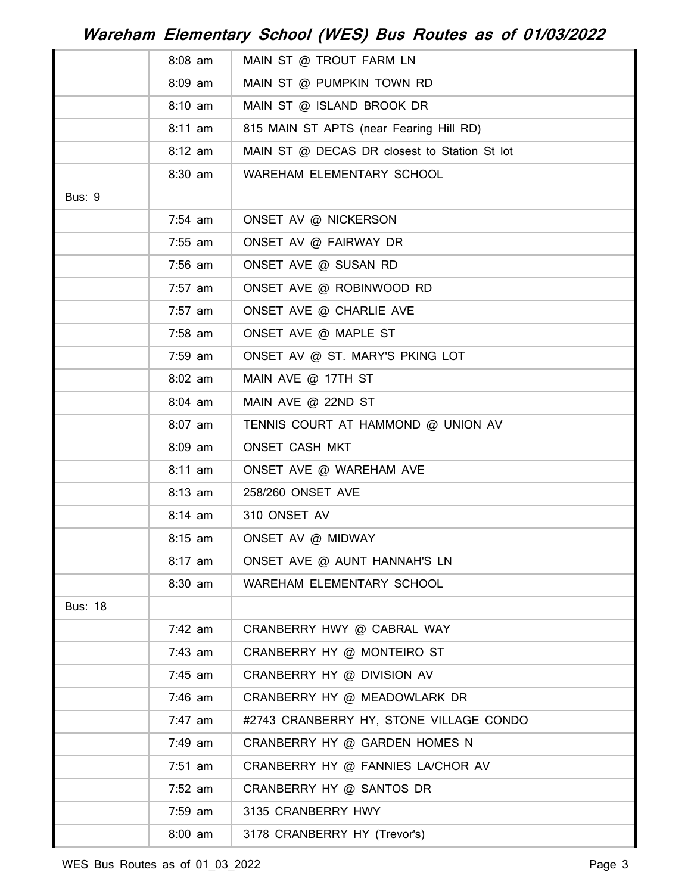|                | $8:08$ am | MAIN ST @ TROUT FARM LN                      |
|----------------|-----------|----------------------------------------------|
|                | $8:09$ am | MAIN ST @ PUMPKIN TOWN RD                    |
|                | $8:10$ am | MAIN ST @ ISLAND BROOK DR                    |
|                | $8:11$ am | 815 MAIN ST APTS (near Fearing Hill RD)      |
|                | $8:12$ am | MAIN ST @ DECAS DR closest to Station St lot |
|                | $8:30$ am | WAREHAM ELEMENTARY SCHOOL                    |
| <b>Bus: 9</b>  |           |                                              |
|                | $7:54$ am | ONSET AV @ NICKERSON                         |
|                | $7:55$ am | ONSET AV @ FAIRWAY DR                        |
|                | $7:56$ am | ONSET AVE @ SUSAN RD                         |
|                | $7:57$ am | ONSET AVE @ ROBINWOOD RD                     |
|                | $7:57$ am | ONSET AVE @ CHARLIE AVE                      |
|                | $7:58$ am | ONSET AVE @ MAPLE ST                         |
|                | $7:59$ am | ONSET AV @ ST. MARY'S PKING LOT              |
|                | $8:02$ am | MAIN AVE $@$ 17TH ST                         |
|                | $8:04$ am | MAIN AVE @ 22ND ST                           |
|                | $8:07$ am | TENNIS COURT AT HAMMOND @ UNION AV           |
|                | $8:09$ am | <b>ONSET CASH MKT</b>                        |
|                | $8:11$ am | ONSET AVE @ WAREHAM AVE                      |
|                | $8:13$ am | 258/260 ONSET AVE                            |
|                | $8:14$ am | 310 ONSET AV                                 |
|                | $8:15$ am | ONSET AV @ MIDWAY                            |
|                | $8:17$ am | ONSET AVE @ AUNT HANNAH'S LN                 |
|                | 8:30 am   | WAREHAM ELEMENTARY SCHOOL                    |
| <b>Bus: 18</b> |           |                                              |
|                | $7:42$ am | CRANBERRY HWY @ CABRAL WAY                   |
|                | $7:43$ am | CRANBERRY HY @ MONTEIRO ST                   |
|                | $7:45$ am | CRANBERRY HY @ DIVISION AV                   |
|                | $7:46$ am | CRANBERRY HY @ MEADOWLARK DR                 |
|                | $7:47$ am | #2743 CRANBERRY HY, STONE VILLAGE CONDO      |
|                | 7:49 am   | CRANBERRY HY @ GARDEN HOMES N                |
|                | $7:51$ am | CRANBERRY HY @ FANNIES LA/CHOR AV            |
|                | $7:52$ am | CRANBERRY HY @ SANTOS DR                     |
|                | $7:59$ am | 3135 CRANBERRY HWY                           |
|                | $8:00$ am | 3178 CRANBERRY HY (Trevor's)                 |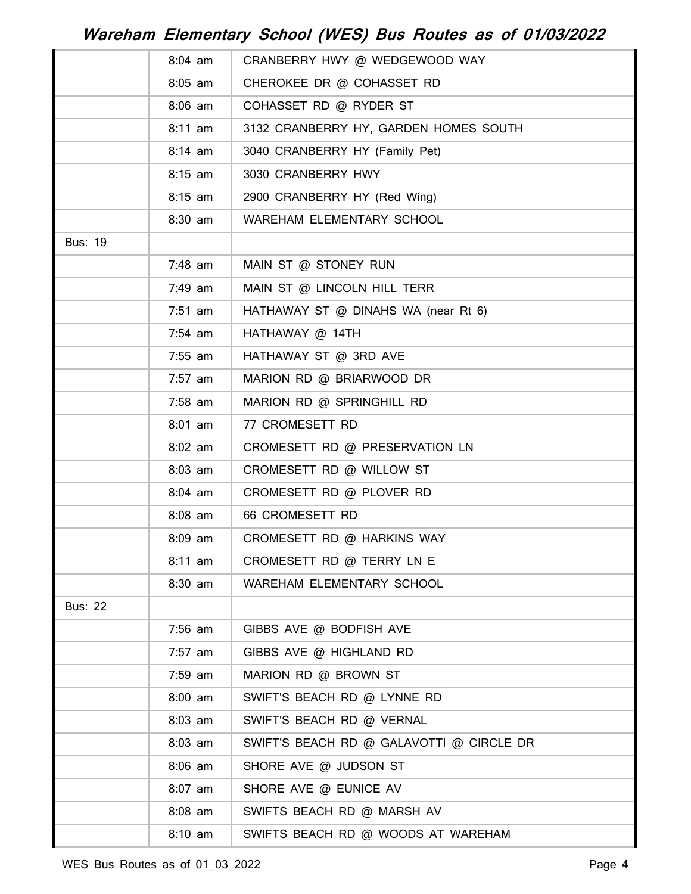|                | $8:04$ am | CRANBERRY HWY @ WEDGEWOOD WAY            |
|----------------|-----------|------------------------------------------|
|                | $8:05$ am | CHEROKEE DR @ COHASSET RD                |
|                | $8:06$ am | COHASSET RD @ RYDER ST                   |
|                | $8:11$ am | 3132 CRANBERRY HY, GARDEN HOMES SOUTH    |
|                | $8:14$ am | 3040 CRANBERRY HY (Family Pet)           |
|                | $8:15$ am | 3030 CRANBERRY HWY                       |
|                | $8:15$ am | 2900 CRANBERRY HY (Red Wing)             |
|                | $8:30$ am | WAREHAM ELEMENTARY SCHOOL                |
| <b>Bus: 19</b> |           |                                          |
|                | 7:48 am   | MAIN ST @ STONEY RUN                     |
|                | 7:49 am   | MAIN ST @ LINCOLN HILL TERR              |
|                | $7:51$ am | HATHAWAY ST @ DINAHS WA (near Rt 6)      |
|                | $7:54$ am | HATHAWAY @ 14TH                          |
|                | $7:55$ am | HATHAWAY ST @ 3RD AVE                    |
|                | $7:57$ am | MARION RD @ BRIARWOOD DR                 |
|                | $7:58$ am | MARION RD @ SPRINGHILL RD                |
|                | $8:01$ am | 77 CROMESETT RD                          |
|                | $8:02$ am | CROMESETT RD @ PRESERVATION LN           |
|                | $8:03$ am | CROMESETT RD @ WILLOW ST                 |
|                | $8:04$ am | CROMESETT RD @ PLOVER RD                 |
|                | $8:08$ am | 66 CROMESETT RD                          |
|                | $8:09$ am | CROMESETT RD @ HARKINS WAY               |
|                | $8:11$ am | CROMESETT RD @ TERRY LN E                |
|                | $8:30$ am | WAREHAM ELEMENTARY SCHOOL                |
| <b>Bus: 22</b> |           |                                          |
|                | $7:56$ am | GIBBS AVE @ BODFISH AVE                  |
|                | $7:57$ am | GIBBS AVE @ HIGHLAND RD                  |
|                | $7:59$ am | MARION RD @ BROWN ST                     |
|                | $8:00$ am | SWIFT'S BEACH RD @ LYNNE RD              |
|                | $8:03$ am | SWIFT'S BEACH RD @ VERNAL                |
|                | $8:03$ am | SWIFT'S BEACH RD @ GALAVOTTI @ CIRCLE DR |
|                | $8:06$ am | SHORE AVE @ JUDSON ST                    |
|                | $8:07$ am | SHORE AVE @ EUNICE AV                    |
|                | $8:08$ am | SWIFTS BEACH RD @ MARSH AV               |
|                | $8:10$ am | SWIFTS BEACH RD @ WOODS AT WAREHAM       |